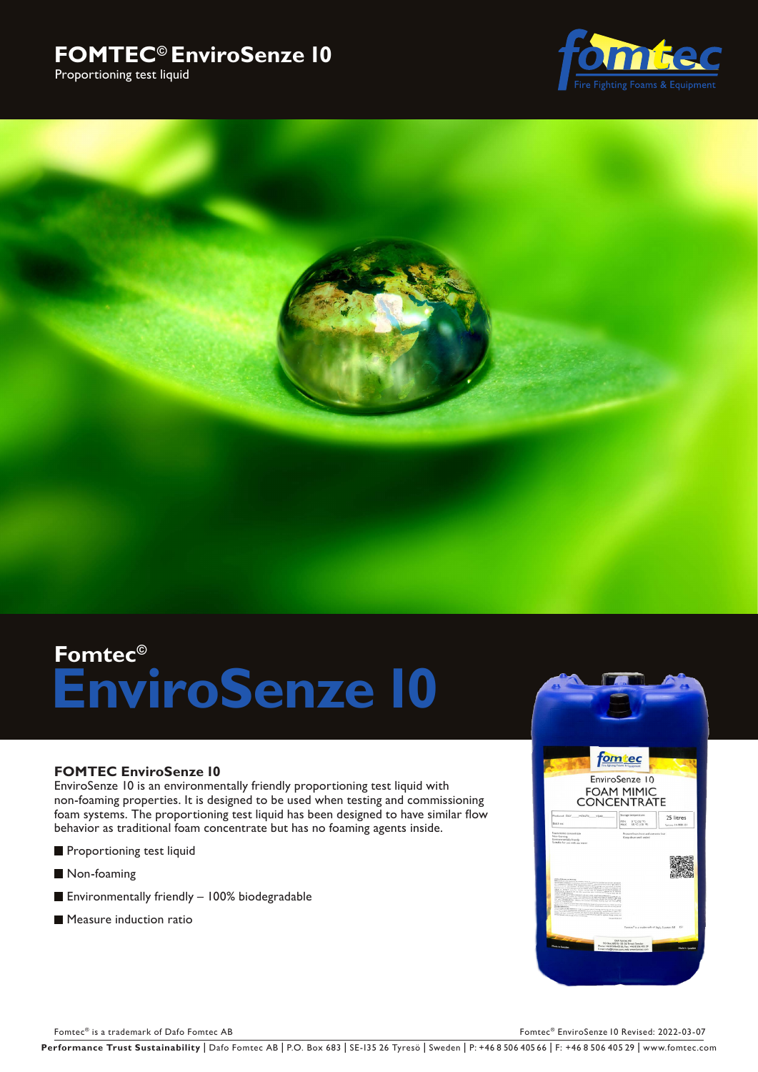## **FOMTEC© EnviroSenze 10**







# **Fomtec© EnviroSenze 10**

### **FOMTEC EnviroSenze 10**

EnviroSenze 10 is an environmentally friendly proportioning test liquid with non-foaming properties. It is designed to be used when testing and commissioning foam systems. The proportioning test liquid has been designed to have similar flow behavior as traditional foam concentrate but has no foaming agents inside.

- **Proportioning test liquid**
- Non-foaming
- Environmentally friendly 100% biodegradable
- **Measure induction ration**



Fomtec® is a trademark of Dafo Fomtec AB For the Content of Dafo Fomtec AB For the Content of Dafo For the Content of Dafo For the Content of Dafo For the Content of Dafo For the Content of Dafo EnviroSenze 10 Revised: 202